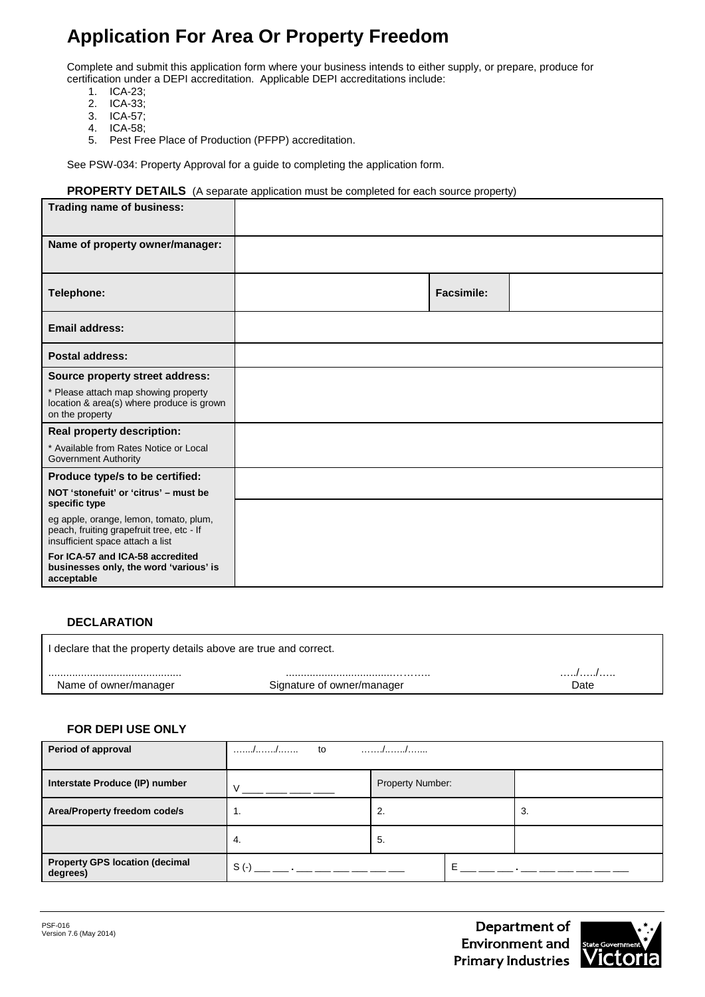# **Application For Area Or Property Freedom**

Complete and submit this application form where your business intends to either supply, or prepare, produce for certification under a DEPI accreditation. Applicable DEPI accreditations include:

- 1. ICA-23;<br>2. ICA-33;
- 2. ICA-33;
- 3. ICA-57;
- 4. ICA-58;
- Pest Free Place of Production (PFPP) accreditation.

See PSW-034: Property Approval for a guide to completing the application form.

#### **PROPERTY DETAILS** (A separate application must be completed for each source property)

| Trading name of business:                                                                                               |                   |  |
|-------------------------------------------------------------------------------------------------------------------------|-------------------|--|
| Name of property owner/manager:                                                                                         |                   |  |
| Telephone:                                                                                                              | <b>Facsimile:</b> |  |
| Email address:                                                                                                          |                   |  |
| <b>Postal address:</b>                                                                                                  |                   |  |
| Source property street address:                                                                                         |                   |  |
| * Please attach map showing property<br>location & area(s) where produce is grown<br>on the property                    |                   |  |
| Real property description:                                                                                              |                   |  |
| * Available from Rates Notice or Local<br><b>Government Authority</b>                                                   |                   |  |
| Produce type/s to be certified:                                                                                         |                   |  |
| NOT 'stonefuit' or 'citrus' - must be<br>specific type                                                                  |                   |  |
| eg apple, orange, lemon, tomato, plum,<br>peach, fruiting grapefruit tree, etc - If<br>insufficient space attach a list |                   |  |
| For ICA-57 and ICA-58 accredited<br>businesses only, the word 'various' is<br>acceptable                                |                   |  |

### **DECLARATION**

I declare that the property details above are true and correct. ............................................. ....................................……….. …../…../….. Signature of owner/manager

### **FOR DEPI USE ONLY**

| Period of approval                                | to<br>. / /                                                   |                  |   |    |
|---------------------------------------------------|---------------------------------------------------------------|------------------|---|----|
| Interstate Produce (IP) number                    |                                                               | Property Number: |   |    |
| Area/Property freedom code/s                      | 1.                                                            | 2.               |   | З. |
|                                                   | 4.                                                            | 5.               |   |    |
| <b>Property GPS location (decimal</b><br>degrees) | $S( - )$<br>the company's proposed to the company's company's |                  | E |    |